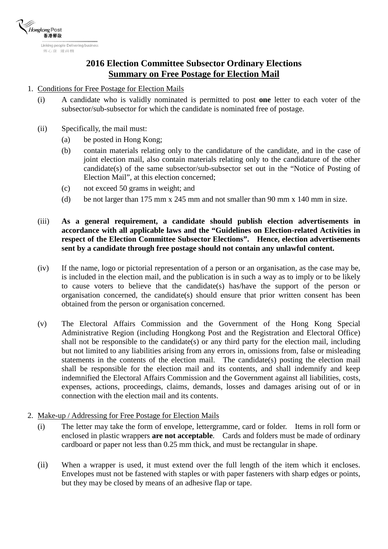

## **2016 Election Committee Subsector Ordinary Elections Summary on Free Postage for Election Mail**

## 1. Conditions for Free Postage for Election Mails

- (i) A candidate who is validly nominated is permitted to post **one** letter to each voter of the subsector/sub-subsector for which the candidate is nominated free of postage.
- (ii) Specifically, the mail must:
	- (a) be posted in Hong Kong;
	- (b) contain materials relating only to the candidature of the candidate, and in the case of joint election mail, also contain materials relating only to the candidature of the other candidate(s) of the same subsector/sub-subsector set out in the "Notice of Posting of Election Mail", at this election concerned;
	- (c) not exceed 50 grams in weight; and
	- (d) be not larger than 175 mm x 245 mm and not smaller than 90 mm x 140 mm in size.
- (iii) **As a general requirement, a candidate should publish election advertisements in accordance with all applicable laws and the "Guidelines on Election-related Activities in respect of the Election Committee Subsector Elections". Hence, election advertisements sent by a candidate through free postage should not contain any unlawful content.**
- (iv) If the name, logo or pictorial representation of a person or an organisation, as the case may be, is included in the election mail, and the publication is in such a way as to imply or to be likely to cause voters to believe that the candidate(s) has/have the support of the person or organisation concerned, the candidate(s) should ensure that prior written consent has been obtained from the person or organisation concerned.
- (v) The Electoral Affairs Commission and the Government of the Hong Kong Special Administrative Region (including Hongkong Post and the Registration and Electoral Office) shall not be responsible to the candidate(s) or any third party for the election mail, including but not limited to any liabilities arising from any errors in, omissions from, false or misleading statements in the contents of the election mail. The candidate(s) posting the election mail shall be responsible for the election mail and its contents, and shall indemnify and keep indemnified the Electoral Affairs Commission and the Government against all liabilities, costs, expenses, actions, proceedings, claims, demands, losses and damages arising out of or in connection with the election mail and its contents.
- 2. Make-up / Addressing for Free Postage for Election Mails
	- (i) The letter may take the form of envelope, lettergramme, card or folder. Items in roll form or enclosed in plastic wrappers **are not acceptable**. Cards and folders must be made of ordinary cardboard or paper not less than 0.25 mm thick, and must be rectangular in shape.
	- (ii) When a wrapper is used, it must extend over the full length of the item which it encloses. Envelopes must not be fastened with staples or with paper fasteners with sharp edges or points, but they may be closed by means of an adhesive flap or tape.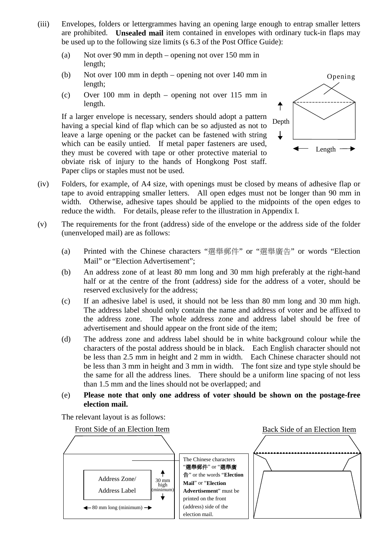- (iii) Envelopes, folders or lettergrammes having an opening large enough to entrap smaller letters are prohibited. **Unsealed mail** item contained in envelopes with ordinary tuck-in flaps may be used up to the following size limits (s 6.3 of the Post Office Guide):
	- (a) Not over 90 mm in depth opening not over 150 mm in length;
	- (b) Not over 100 mm in depth opening not over 140 mm in length;
	- (c) Over 100 mm in depth opening not over 115 mm in length.

If a larger envelope is necessary, senders should adopt a pattern Depth having a special kind of flap which can be so adjusted as not to leave a large opening or the packet can be fastened with string which can be easily untied. If metal paper fasteners are used, they must be covered with tape or other protective material to obviate risk of injury to the hands of Hongkong Post staff. Paper clips or staples must not be used.



- (iv) Folders, for example, of A4 size, with openings must be closed by means of adhesive flap or tape to avoid entrapping smaller letters. All open edges must not be longer than 90 mm in width. Otherwise, adhesive tapes should be applied to the midpoints of the open edges to reduce the width. For details, please refer to the illustration in Appendix I.
- (v) The requirements for the front (address) side of the envelope or the address side of the folder (unenveloped mail) are as follows:
	- (a) Printed with the Chinese characters "選舉郵件" or "選舉廣告" or words "Election Mail" or "Election Advertisement":
	- (b) An address zone of at least 80 mm long and 30 mm high preferably at the right-hand half or at the centre of the front (address) side for the address of a voter, should be reserved exclusively for the address;
	- (c) If an adhesive label is used, it should not be less than 80 mm long and 30 mm high. The address label should only contain the name and address of voter and be affixed to the address zone. The whole address zone and address label should be free of advertisement and should appear on the front side of the item;
	- (d) The address zone and address label should be in white background colour while the characters of the postal address should be in black. Each English character should not be less than 2.5 mm in height and 2 mm in width. Each Chinese character should not be less than 3 mm in height and 3 mm in width. The font size and type style should be the same for all the address lines. There should be a uniform line spacing of not less than 1.5 mm and the lines should not be overlapped; and
	- (e) **Please note that only one address of voter should be shown on the postage-free election mail.**

The relevant layout is as follows:

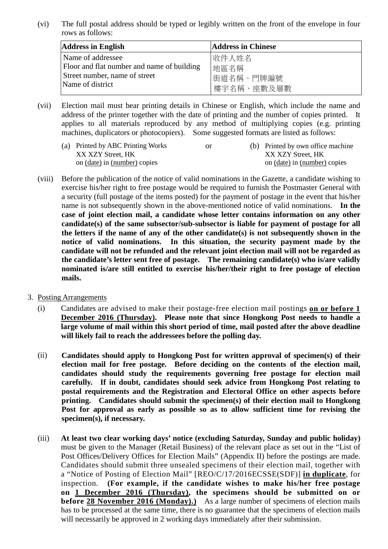(vi) The full postal address should be typed or legibly written on the front of the envelope in four rows as follows:

| <b>Address in English</b>                  | <b>Address in Chinese</b> |
|--------------------------------------------|---------------------------|
| Name of addressee                          | 收件人姓名                     |
| Floor and flat number and name of building | 地區名稱                      |
| Street number, name of street              | 街道名稱、門牌編號                 |
| Name of district                           | 博宇名稱、座數及層數                |

(vii) Election mail must bear printing details in Chinese or English, which include the name and address of the printer together with the date of printing and the number of copies printed. It applies to all materials reproduced by any method of multiplying copies (e.g. printing machines, duplicators or photocopiers). Some suggested formats are listed as follows:

| (a) Printed by ABC Printing Works | or. | (b) Printed by own office machine |
|-----------------------------------|-----|-----------------------------------|
| XX XZY Street, HK                 |     | XX XZY Street. HK                 |
| on (date) in (number) copies      |     | on (date) in (number) copies      |

- (viii) Before the publication of the notice of valid nominations in the Gazette, a candidate wishing to exercise his/her right to free postage would be required to furnish the Postmaster General with a security (full postage of the items posted) for the payment of postage in the event that his/her name is not subsequently shown in the above-mentioned notice of valid nominations. **In the case of joint election mail, a candidate whose letter contains information on any other candidate(s) of the same subsector/sub-subsector is liable for payment of postage for all the letters if the name of any of the other candidate(s) is not subsequently shown in the notice of valid nominations. In this situation, the security payment made by the candidate will not be refunded and the relevant joint election mail will not be regarded as the candidate's letter sent free of postage. The remaining candidate(s) who is/are validly nominated is/are still entitled to exercise his/her/their right to free postage of election mails.**
- 3. Posting Arrangements
	- (i) Candidates are advised to make their postage-free election mail postings **on or before 1 December 2016 (Thursday). Please note that since Hongkong Post needs to handle a large volume of mail within this short period of time, mail posted after the above deadline will likely fail to reach the addressees before the polling day.**
	- (ii) **Candidates should apply to Hongkong Post for written approval of specimen(s) of their election mail for free postage. Before deciding on the contents of the election mail, candidates should study the requirements governing free postage for election mail carefully. If in doubt, candidates should seek advice from Hongkong Post relating to postal requirements and the Registration and Electoral Office on other aspects before printing. Candidates should submit the specimen(s) of their election mail to Hongkong Post for approval as early as possible so as to allow sufficient time for revising the specimen(s), if necessary.**
	- (iii) **At least two clear working days' notice (excluding Saturday, Sunday and public holiday)**  must be given to the Manager (Retail Business) of the relevant place as set out in the "List of Post Offices/Delivery Offices for Election Mails" (Appendix II) before the postings are made. Candidates should submit three unsealed specimens of their election mail, together with a "Notice of Posting of Election Mail" [REO/C/17/2016ECSSE(SDF)] **in duplicate**, for inspection. **(For example, if the candidate wishes to make his/her free postage on 1 December 2016 (Thursday), the specimens should be submitted on or before 28 November 2016 (Monday).)** As a large number of specimens of election mails has to be processed at the same time, there is no guarantee that the specimens of election mails will necessarily be approved in 2 working days immediately after their submission.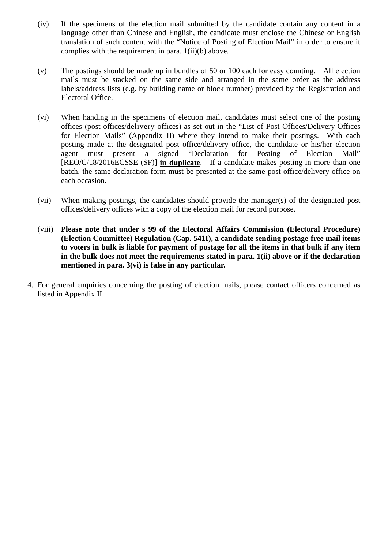- (iv) If the specimens of the election mail submitted by the candidate contain any content in a language other than Chinese and English, the candidate must enclose the Chinese or English translation of such content with the "Notice of Posting of Election Mail" in order to ensure it complies with the requirement in para. 1(ii)(b) above.
- (v) The postings should be made up in bundles of 50 or 100 each for easy counting. All election mails must be stacked on the same side and arranged in the same order as the address labels/address lists (e.g. by building name or block number) provided by the Registration and Electoral Office.
- (vi) When handing in the specimens of election mail, candidates must select one of the posting offices (post offices/delivery offices) as set out in the "List of Post Offices/Delivery Offices for Election Mails" (Appendix II) where they intend to make their postings. With each posting made at the designated post office/delivery office, the candidate or his/her election agent must present a signed "Declaration for Posting of Election Mail" [REO/C/18/2016ECSSE (SF)] **in duplicate**. If a candidate makes posting in more than one batch, the same declaration form must be presented at the same post office/delivery office on each occasion.
- (vii) When making postings, the candidates should provide the manager(s) of the designated post offices/delivery offices with a copy of the election mail for record purpose.
- (viii) **Please note that under s 99 of the Electoral Affairs Commission (Electoral Procedure) (Election Committee) Regulation (Cap. 541I), a candidate sending postage-free mail items to voters in bulk is liable for payment of postage for all the items in that bulk if any item in the bulk does not meet the requirements stated in para. 1(ii) above or if the declaration mentioned in para. 3(vi) is false in any particular.**
- 4. For general enquiries concerning the posting of election mails, please contact officers concerned as listed in Appendix II.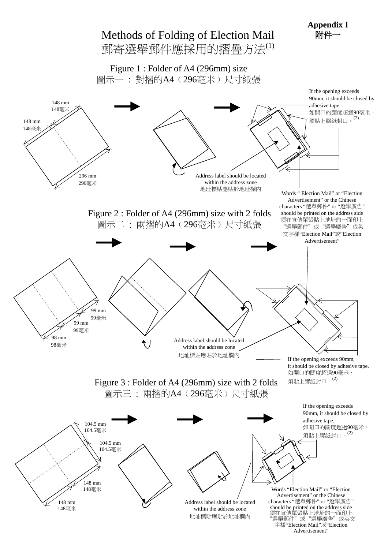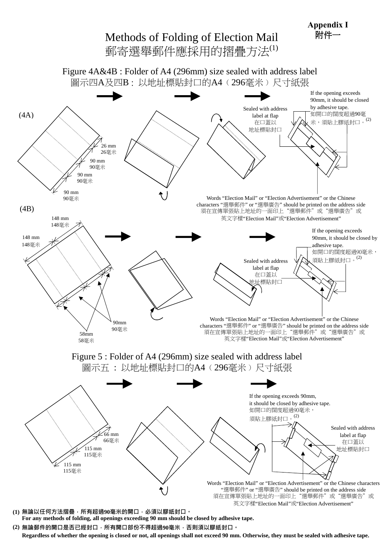

**(2)** 無論郵件的開口是否已經封口,所有開口部份不得超過**90**毫米,否則須以膠紙封口。 **Regardless of whether the opening is closed or not, all openings shall not exceed 90 mm. Otherwise, they must be sealed with adhesive tape.**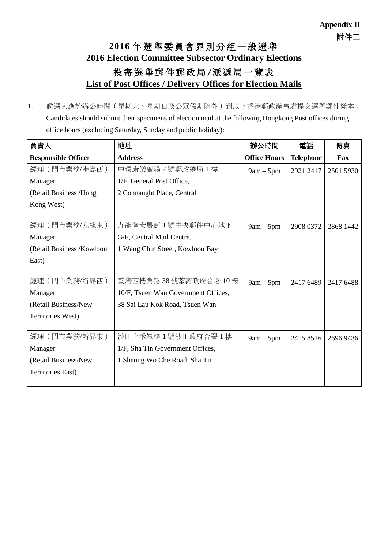## **2016** 年選舉委員會界別分組一般選舉 **2016 Election Committee Subsector Ordinary Elections** 投寄選舉郵件郵政局/派遞局一覽表 **List of Post Offices / Delivery Offices for Election Mails**

1. 候選人應於辦公時間(星期六、星期日及公眾假期除外)到以下香港郵政辦事處提交選舉郵件樣本: Candidates should submit their specimens of election mail at the following Hongkong Post offices during office hours (excluding Saturday, Sunday and public holiday):

| 負責人                        | 地址                                  | 辦公時間                | 電話               | 傳真        |
|----------------------------|-------------------------------------|---------------------|------------------|-----------|
| <b>Responsible Officer</b> | <b>Address</b>                      | <b>Office Hours</b> | <b>Telephone</b> | Fax       |
| 經理(門市業務/港島西)               | 中環康樂廣場2號郵政總局1樓                      | $9am - 5pm$         | 2921 2417        | 2501 5930 |
| Manager                    | 1/F, General Post Office,           |                     |                  |           |
| (Retail Business /Hong     | 2 Connaught Place, Central          |                     |                  |           |
| Kong West)                 |                                     |                     |                  |           |
|                            |                                     |                     |                  |           |
| 經理 (門市業務/九龍東)              | 九龍灣宏展街1號中央郵件中心地下                    | $9am - 5pm$         | 2908 0372        | 2868 1442 |
| Manager                    | G/F, Central Mail Centre,           |                     |                  |           |
| (Retail Business /Kowloon) | 1 Wang Chin Street, Kowloon Bay     |                     |                  |           |
| East)                      |                                     |                     |                  |           |
|                            |                                     |                     |                  |           |
| 經理 (門市業務/新界西)              | 荃灣西樓角路 38 號荃灣政府合署 10 樓              | $9am - 5pm$         | 2417 6489        | 2417 6488 |
| Manager                    | 10/F, Tsuen Wan Government Offices, |                     |                  |           |
| (Retail Business/New       | 38 Sai Lau Kok Road, Tsuen Wan      |                     |                  |           |
| Territories West)          |                                     |                     |                  |           |
|                            |                                     |                     |                  |           |
| 經理 (門市業務/新界東)              | 沙田上禾輋路1號沙田政府合署1樓                    | $9am - 5pm$         | 2415 8516        | 2696 9436 |
| Manager                    | 1/F, Sha Tin Government Offices,    |                     |                  |           |
| (Retail Business/New       | 1 Sheung Wo Che Road, Sha Tin       |                     |                  |           |
| Territories East)          |                                     |                     |                  |           |
|                            |                                     |                     |                  |           |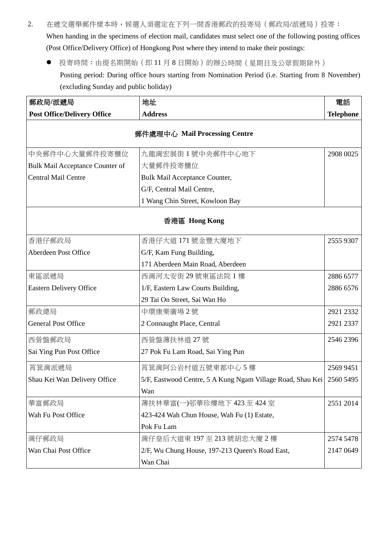- 2. 在遞交選舉郵件樣本時,候選人須選定在下列一間香港郵政的投寄局(郵政局/派遞局)投寄: When handing in the specimens of election mail, candidates must select one of the following posting offices (Post Office/Delivery Office) of Hongkong Post where they intend to make their postings:
	- 投寄時間:由提名期開始(即11月8日開始)的辦公時間(星期日及公眾假期除外) Posting period: During office hours starting from Nomination Period (i.e. Starting from 8 November) (excluding Sunday and public holiday)

| 郵政局/派遞局                                              | 地址                                                         | 電話               |
|------------------------------------------------------|------------------------------------------------------------|------------------|
| <b>Post Office/Delivery Office</b><br><b>Address</b> |                                                            | <b>Telephone</b> |
|                                                      | 郵件處理中心 Mail Processing Centre                              |                  |
| 中央郵件中心大量郵件投寄櫃位                                       | 九龍灣宏展街1號中央郵件中心地下                                           | 2908 0025        |
| Bulk Mail Acceptance Counter of                      | 大量郵件投寄櫃位                                                   |                  |
| Central Mail Centre                                  | <b>Bulk Mail Acceptance Counter,</b>                       |                  |
|                                                      | G/F, Central Mail Centre,                                  |                  |
|                                                      | 1 Wang Chin Street, Kowloon Bay                            |                  |
|                                                      | 香港區 Hong Kong                                              |                  |
| 香港仔郵政局                                               | 香港仔大道 171 號金豐大廈地下                                          | 2555 9307        |
| Aberdeen Post Office<br>G/F, Kam Fung Building,      |                                                            |                  |
|                                                      | 171 Aberdeen Main Road, Aberdeen                           |                  |
| 東區派遞局                                                | 西灣河太安街 29號東區法院 1 樓                                         | 2886 6577        |
| <b>Eastern Delivery Office</b>                       | 1/F, Eastern Law Courts Building,                          | 2886 6576        |
|                                                      | 29 Tai On Street, Sai Wan Ho                               |                  |
| 郵政總局                                                 | 中環康樂廣場2號                                                   | 2921 2332        |
| <b>General Post Office</b>                           | 2 Connaught Place, Central                                 | 2921 2337        |
| 西營盤郵政局                                               | 西營盤薄扶林道 27號                                                | 2546 2396        |
| Sai Ying Pun Post Office                             | 27 Pok Fu Lam Road, Sai Ying Pun                           |                  |
| 筲箕灣派遞局                                               | 筲箕灣阿公岩村道五號東都中心5樓                                           | 2569 9451        |
| Shau Kei Wan Delivery Office                         | 5/F, Eastwood Centre, 5 A Kung Ngam Village Road, Shau Kei | 2560 5495        |
|                                                      | Wan                                                        |                  |
| 華富郵政局                                                | 薄扶林華富(一)邨華珍樓地下 423至 424室                                   | 2551 2014        |
| Wah Fu Post Office                                   | 423-424 Wah Chun House, Wah Fu (1) Estate,                 |                  |
|                                                      | Pok Fu Lam                                                 |                  |
| 灣仔郵政局                                                | 灣仔皇后大道東197至213號胡忠大廈2樓                                      | 2574 5478        |
| Wan Chai Post Office                                 | 2/F, Wu Chung House, 197-213 Queen's Road East,            | 2147 0649        |
|                                                      | Wan Chai                                                   |                  |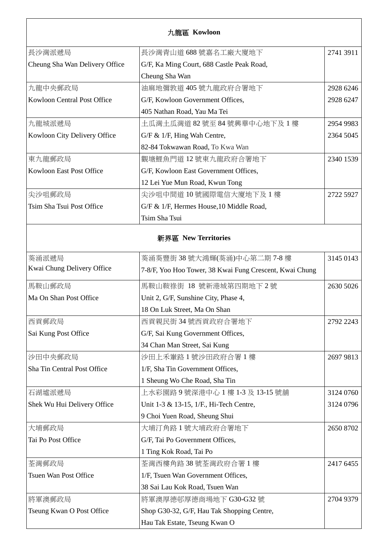| 九龍區 Kowloon |
|-------------|
|             |

| 長沙灣派遞局                         | 長沙灣青山道 688 號嘉名工廠大廈地下                      | 2741 3911 |
|--------------------------------|-------------------------------------------|-----------|
| Cheung Sha Wan Delivery Office | G/F, Ka Ming Court, 688 Castle Peak Road, |           |
|                                | Cheung Sha Wan                            |           |
| 九龍中央郵政局                        | 油麻地彌敦道 405 號九龍政府合署地下                      | 2928 6246 |
| Kowloon Central Post Office    | G/F, Kowloon Government Offices,          | 2928 6247 |
|                                | 405 Nathan Road, Yau Ma Tei               |           |
| 九龍城派遞局                         | 土瓜灣土瓜灣道 82 號至 84 號興華中心地下及 1 樓             | 2954 9983 |
| Kowloon City Delivery Office   | $G/F \& 1/F$ , Hing Wah Centre,           | 2364 5045 |
|                                | 82-84 Tokwawan Road, To Kwa Wan           |           |
| 東九龍郵政局                         | 觀塘鯉魚門道 12 號東九龍政府合署地下                      | 2340 1539 |
| Kowloon East Post Office       | G/F, Kowloon East Government Offices,     |           |
|                                | 12 Lei Yue Mun Road, Kwun Tong            |           |
| 尖沙咀郵政局                         | 尖沙咀中間道 10 號國際電信大廈地下及 1 樓                  | 2722 5927 |
| Tsim Sha Tsui Post Office      | G/F & 1/F, Hermes House, 10 Middle Road,  |           |
|                                | Tsim Sha Tsui                             |           |

## 新界區 **New Territories**

| 葵涌派遞局                        | 葵涌葵豐街 38 號大鴻輝(葵涌)中心第二期 7-8 樓                            | 3145 0143 |
|------------------------------|---------------------------------------------------------|-----------|
| Kwai Chung Delivery Office   | 7-8/F, Yoo Hoo Tower, 38 Kwai Fung Crescent, Kwai Chung |           |
| 馬鞍山郵政局                       | 馬鞍山鞍祿街 18 號新港城第四期地下2號                                   | 2630 5026 |
| Ma On Shan Post Office       | Unit 2, G/F, Sunshine City, Phase 4,                    |           |
|                              | 18 On Luk Street, Ma On Shan                            |           |
| 西貢郵政局                        | 西貢親民街 34號西貢政府合署地下                                       | 2792 2243 |
| Sai Kung Post Office         | G/F, Sai Kung Government Offices,                       |           |
|                              | 34 Chan Man Street, Sai Kung                            |           |
| 沙田中央郵政局                      | 沙田上禾輋路1號沙田政府合署1樓                                        | 2697 9813 |
| Sha Tin Central Post Office  | 1/F, Sha Tin Government Offices,                        |           |
|                              | 1 Sheung Wo Che Road, Sha Tin                           |           |
| 石湖墟派遞局                       | 上水彩園路 9 號深港中心 1 樓 1-3 及 13-15 號舖                        | 3124 0760 |
| Shek Wu Hui Delivery Office  | Unit 1-3 & 13-15, 1/F., Hi-Tech Centre,                 | 3124 0796 |
|                              | 9 Choi Yuen Road, Sheung Shui                           |           |
| 大埔郵政局                        | 大埔汀角路1號大埔政府合署地下                                         | 2650 8702 |
| Tai Po Post Office           | G/F, Tai Po Government Offices,                         |           |
|                              | 1 Ting Kok Road, Tai Po                                 |           |
| 荃灣郵政局                        | 荃灣西樓角路38號荃灣政府合署1樓                                       | 2417 6455 |
| <b>Tsuen Wan Post Office</b> | 1/F, Tsuen Wan Government Offices,                      |           |
|                              | 38 Sai Lau Kok Road, Tsuen Wan                          |           |
| 將軍澳郵政局                       | 將軍澳厚德邨厚德商場地下 G30-G32號                                   | 2704 9379 |
| Tseung Kwan O Post Office    | Shop G30-32, G/F, Hau Tak Shopping Centre,              |           |
|                              | Hau Tak Estate, Tseung Kwan O                           |           |